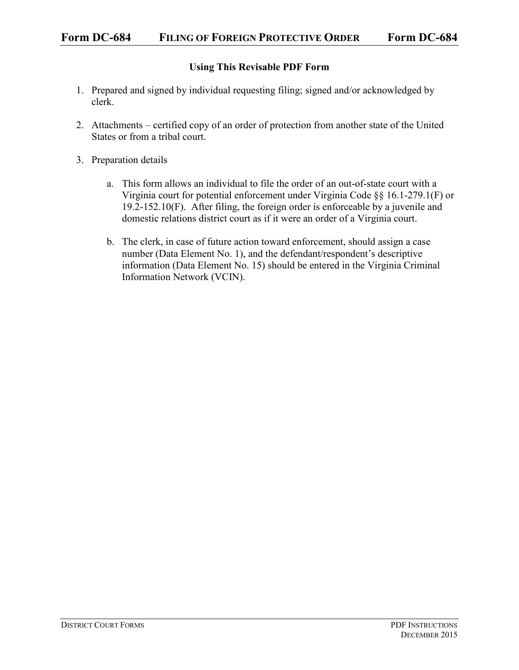## **Using This Revisable PDF Form**

- 1. Prepared and signed by individual requesting filing; signed and/or acknowledged by clerk.
- 2. Attachments certified copy of an order of protection from another state of the United States or from a tribal court.
- 3. Preparation details
	- a. This form allows an individual to file the order of an out-of-state court with a Virginia court for potential enforcement under Virginia Code §§ 16.1-279.1(F) or 19.2-152.10(F). After filing, the foreign order is enforceable by a juvenile and domestic relations district court as if it were an order of a Virginia court.
	- b. The clerk, in case of future action toward enforcement, should assign a case number (Data Element No. 1), and the defendant/respondent's descriptive information (Data Element No. 15) should be entered in the Virginia Criminal Information Network (VCIN).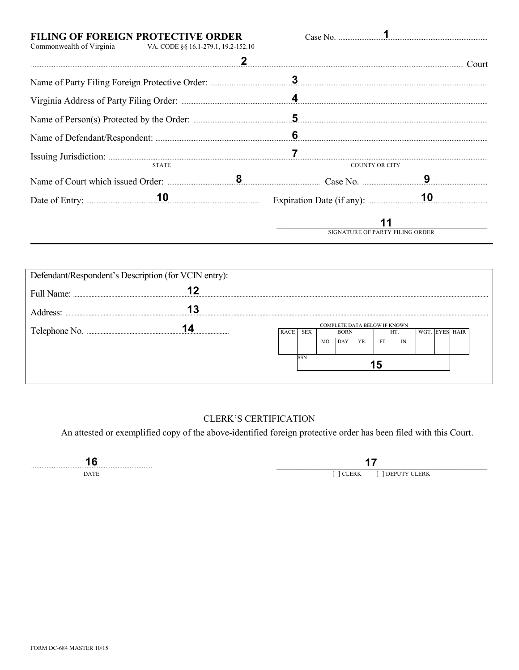| FILING OF FOREIGN PROTECTIVE ORDER<br>Commonwealth of Virginia VA. CODE $\S$ § 16.1-279.1, 19.2-152.10 |                                 |                                          |  |  |  |  |  |  |
|--------------------------------------------------------------------------------------------------------|---------------------------------|------------------------------------------|--|--|--|--|--|--|
|                                                                                                        |                                 | Court                                    |  |  |  |  |  |  |
|                                                                                                        |                                 |                                          |  |  |  |  |  |  |
|                                                                                                        |                                 |                                          |  |  |  |  |  |  |
|                                                                                                        |                                 |                                          |  |  |  |  |  |  |
|                                                                                                        |                                 |                                          |  |  |  |  |  |  |
| Issuing Jurisdiction: 22                                                                               |                                 |                                          |  |  |  |  |  |  |
| <b>STATE</b>                                                                                           |                                 | <b>COUNTY OR CITY</b>                    |  |  |  |  |  |  |
|                                                                                                        |                                 |                                          |  |  |  |  |  |  |
|                                                                                                        |                                 | Expiration Date (if any): $\frac{10}{2}$ |  |  |  |  |  |  |
|                                                                                                        | SIGNATURE OF PARTY FILING ORDER |                                          |  |  |  |  |  |  |

| Defendant/Respondent's Description (for VCIN entry): |                                                                                        |  |     |            |     |     |     |  |                  |  |  |
|------------------------------------------------------|----------------------------------------------------------------------------------------|--|-----|------------|-----|-----|-----|--|------------------|--|--|
| Full Name:                                           |                                                                                        |  |     |            |     |     |     |  |                  |  |  |
| Address <sup>-</sup>                                 |                                                                                        |  |     |            |     |     |     |  |                  |  |  |
| Telephone No.                                        | COMPLETE DATA BELOW IF KNOWN<br><b>RACE</b><br><b>SEX</b><br>WGT<br><b>BORN</b><br>HT. |  |     |            |     |     |     |  | <b>EYES HAIR</b> |  |  |
|                                                      |                                                                                        |  | MO. | <b>DAY</b> | YR. | FT. | IN. |  |                  |  |  |
|                                                      | SSN                                                                                    |  |     |            |     |     |     |  |                  |  |  |
|                                                      |                                                                                        |  |     |            |     |     |     |  |                  |  |  |

## **CLERK'S CERTIFICATION**

An attested or exemplified copy of the above-identified foreign protective order has been filed with this Court.

16

 $17$ 

[ ] CLERK [ ] DEPUTY CLERK

 $\mathbf{DATE}$